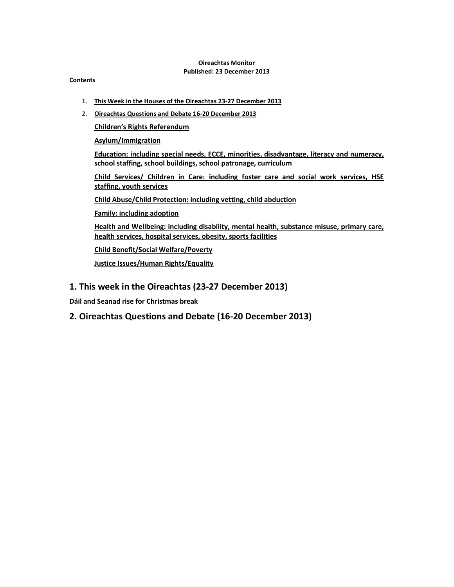#### Oireachtas Monitor Published: 23 December 2013

#### **Contents**

- 1. This Week in the Houses of the Oireachtas 23-27 December 2013
- 2. Oireachtas Questions and Debate 16-20 December 2013

Children's Rights Referendum

Asylum/Immigration

Education: including special needs, ECCE, minorities, disadvantage, literacy and numeracy, school staffing, school buildings, school patronage, curriculum

Child Services/ Children in Care: including foster care and social work services, HSE staffing, youth services

Child Abuse/Child Protection: including vetting, child abduction

Family: including adoption

Health and Wellbeing: including disability, mental health, substance misuse, primary care, health services, hospital services, obesity, sports facilities

Child Benefit/Social Welfare/Poverty

Justice Issues/Human Rights/Equality

# 1. This week in the Oireachtas (23-27 December 2013)

Dáil and Seanad rise for Christmas break

# 2. Oireachtas Questions and Debate (16-20 December 2013)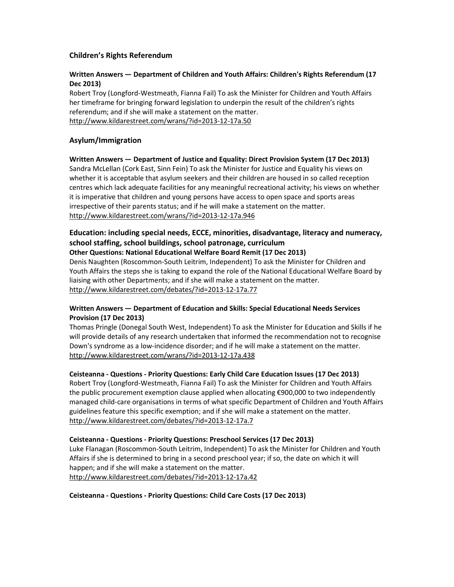# Children's Rights Referendum

### Written Answers — Department of Children and Youth Affairs: Children's Rights Referendum (17 Dec 2013)

Robert Troy (Longford-Westmeath, Fianna Fail) To ask the Minister for Children and Youth Affairs her timeframe for bringing forward legislation to underpin the result of the children's rights referendum; and if she will make a statement on the matter. http://www.kildarestreet.com/wrans/?id=2013-12-17a.50

# Asylum/Immigration

Written Answers — Department of Justice and Equality: Direct Provision System (17 Dec 2013) Sandra McLellan (Cork East, Sinn Fein) To ask the Minister for Justice and Equality his views on whether it is acceptable that asylum seekers and their children are housed in so called reception centres which lack adequate facilities for any meaningful recreational activity; his views on whether it is imperative that children and young persons have access to open space and sports areas irrespective of their parents status; and if he will make a statement on the matter. http://www.kildarestreet.com/wrans/?id=2013-12-17a.946

# Education: including special needs, ECCE, minorities, disadvantage, literacy and numeracy, school staffing, school buildings, school patronage, curriculum

Other Questions: National Educational Welfare Board Remit (17 Dec 2013)

Denis Naughten (Roscommon-South Leitrim, Independent) To ask the Minister for Children and Youth Affairs the steps she is taking to expand the role of the National Educational Welfare Board by liaising with other Departments; and if she will make a statement on the matter. http://www.kildarestreet.com/debates/?id=2013-12-17a.77

# Written Answers — Department of Education and Skills: Special Educational Needs Services Provision (17 Dec 2013)

Thomas Pringle (Donegal South West, Independent) To ask the Minister for Education and Skills if he will provide details of any research undertaken that informed the recommendation not to recognise Down's syndrome as a low-incidence disorder; and if he will make a statement on the matter. http://www.kildarestreet.com/wrans/?id=2013-12-17a.438

# Ceisteanna - Questions - Priority Questions: Early Child Care Education Issues (17 Dec 2013)

Robert Troy (Longford-Westmeath, Fianna Fail) To ask the Minister for Children and Youth Affairs the public procurement exemption clause applied when allocating €900,000 to two independently managed child-care organisations in terms of what specific Department of Children and Youth Affairs guidelines feature this specific exemption; and if she will make a statement on the matter. http://www.kildarestreet.com/debates/?id=2013-12-17a.7

# Ceisteanna - Questions - Priority Questions: Preschool Services (17 Dec 2013)

Luke Flanagan (Roscommon-South Leitrim, Independent) To ask the Minister for Children and Youth Affairs if she is determined to bring in a second preschool year; if so, the date on which it will happen; and if she will make a statement on the matter. http://www.kildarestreet.com/debates/?id=2013-12-17a.42

Ceisteanna - Questions - Priority Questions: Child Care Costs (17 Dec 2013)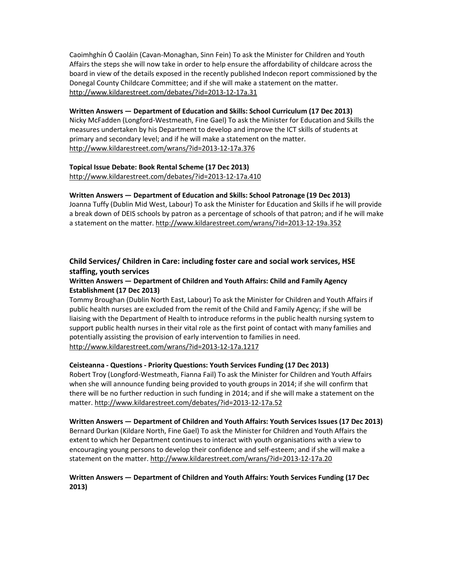Caoimhghín Ó Caoláin (Cavan-Monaghan, Sinn Fein) To ask the Minister for Children and Youth Affairs the steps she will now take in order to help ensure the affordability of childcare across the board in view of the details exposed in the recently published Indecon report commissioned by the Donegal County Childcare Committee; and if she will make a statement on the matter. http://www.kildarestreet.com/debates/?id=2013-12-17a.31

#### Written Answers — Department of Education and Skills: School Curriculum (17 Dec 2013)

Nicky McFadden (Longford-Westmeath, Fine Gael) To ask the Minister for Education and Skills the measures undertaken by his Department to develop and improve the ICT skills of students at primary and secondary level; and if he will make a statement on the matter. http://www.kildarestreet.com/wrans/?id=2013-12-17a.376

### Topical Issue Debate: Book Rental Scheme (17 Dec 2013)

http://www.kildarestreet.com/debates/?id=2013-12-17a.410

### Written Answers — Department of Education and Skills: School Patronage (19 Dec 2013)

Joanna Tuffy (Dublin Mid West, Labour) To ask the Minister for Education and Skills if he will provide a break down of DEIS schools by patron as a percentage of schools of that patron; and if he will make a statement on the matter. http://www.kildarestreet.com/wrans/?id=2013-12-19a.352

# Child Services/ Children in Care: including foster care and social work services, HSE staffing, youth services

# Written Answers — Department of Children and Youth Affairs: Child and Family Agency Establishment (17 Dec 2013)

Tommy Broughan (Dublin North East, Labour) To ask the Minister for Children and Youth Affairs if public health nurses are excluded from the remit of the Child and Family Agency; if she will be liaising with the Department of Health to introduce reforms in the public health nursing system to support public health nurses in their vital role as the first point of contact with many families and potentially assisting the provision of early intervention to families in need. http://www.kildarestreet.com/wrans/?id=2013-12-17a.1217

#### Ceisteanna - Questions - Priority Questions: Youth Services Funding (17 Dec 2013)

Robert Troy (Longford-Westmeath, Fianna Fail) To ask the Minister for Children and Youth Affairs when she will announce funding being provided to youth groups in 2014; if she will confirm that there will be no further reduction in such funding in 2014; and if she will make a statement on the matter. http://www.kildarestreet.com/debates/?id=2013-12-17a.52

#### Written Answers — Department of Children and Youth Affairs: Youth Services Issues (17 Dec 2013)

Bernard Durkan (Kildare North, Fine Gael) To ask the Minister for Children and Youth Affairs the extent to which her Department continues to interact with youth organisations with a view to encouraging young persons to develop their confidence and self-esteem; and if she will make a statement on the matter. http://www.kildarestreet.com/wrans/?id=2013-12-17a.20

# Written Answers — Department of Children and Youth Affairs: Youth Services Funding (17 Dec 2013)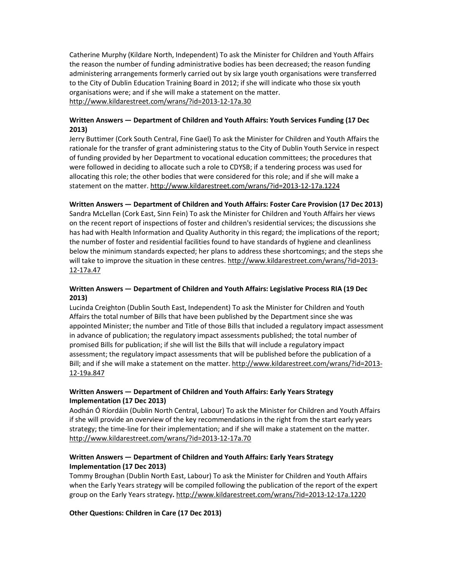Catherine Murphy (Kildare North, Independent) To ask the Minister for Children and Youth Affairs the reason the number of funding administrative bodies has been decreased; the reason funding administering arrangements formerly carried out by six large youth organisations were transferred to the City of Dublin Education Training Board in 2012; if she will indicate who those six youth organisations were; and if she will make a statement on the matter. http://www.kildarestreet.com/wrans/?id=2013-12-17a.30

# Written Answers — Department of Children and Youth Affairs: Youth Services Funding (17 Dec 2013)

Jerry Buttimer (Cork South Central, Fine Gael) To ask the Minister for Children and Youth Affairs the rationale for the transfer of grant administering status to the City of Dublin Youth Service in respect of funding provided by her Department to vocational education committees; the procedures that were followed in deciding to allocate such a role to CDYSB; if a tendering process was used for allocating this role; the other bodies that were considered for this role; and if she will make a statement on the matter. http://www.kildarestreet.com/wrans/?id=2013-12-17a.1224

# Written Answers — Department of Children and Youth Affairs: Foster Care Provision (17 Dec 2013)

Sandra McLellan (Cork East, Sinn Fein) To ask the Minister for Children and Youth Affairs her views on the recent report of inspections of foster and children's residential services; the discussions she has had with Health Information and Quality Authority in this regard; the implications of the report; the number of foster and residential facilities found to have standards of hygiene and cleanliness below the minimum standards expected; her plans to address these shortcomings; and the steps she will take to improve the situation in these centres. http://www.kildarestreet.com/wrans/?id=2013- 12-17a.47

### Written Answers — Department of Children and Youth Affairs: Legislative Process RIA (19 Dec 2013)

Lucinda Creighton (Dublin South East, Independent) To ask the Minister for Children and Youth Affairs the total number of Bills that have been published by the Department since she was appointed Minister; the number and Title of those Bills that included a regulatory impact assessment in advance of publication; the regulatory impact assessments published; the total number of promised Bills for publication; if she will list the Bills that will include a regulatory impact assessment; the regulatory impact assessments that will be published before the publication of a Bill; and if she will make a statement on the matter. http://www.kildarestreet.com/wrans/?id=2013- 12-19a.847

# Written Answers — Department of Children and Youth Affairs: Early Years Strategy Implementation (17 Dec 2013)

Aodhán Ó Ríordáin (Dublin North Central, Labour) To ask the Minister for Children and Youth Affairs if she will provide an overview of the key recommendations in the right from the start early years strategy; the time-line for their implementation; and if she will make a statement on the matter. http://www.kildarestreet.com/wrans/?id=2013-12-17a.70

# Written Answers — Department of Children and Youth Affairs: Early Years Strategy Implementation (17 Dec 2013)

Tommy Broughan (Dublin North East, Labour) To ask the Minister for Children and Youth Affairs when the Early Years strategy will be compiled following the publication of the report of the expert group on the Early Years strategy. http://www.kildarestreet.com/wrans/?id=2013-12-17a.1220

Other Questions: Children in Care (17 Dec 2013)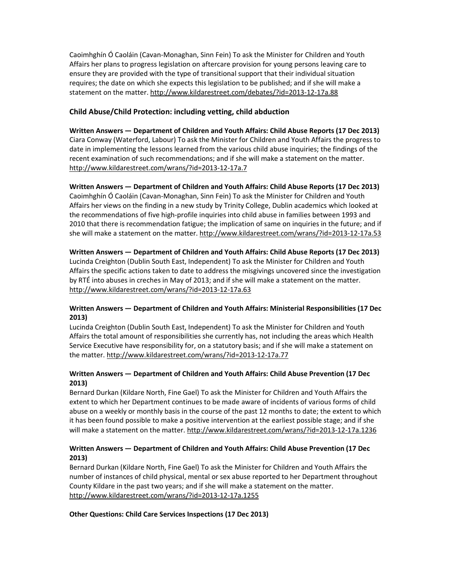Caoimhghín Ó Caoláin (Cavan-Monaghan, Sinn Fein) To ask the Minister for Children and Youth Affairs her plans to progress legislation on aftercare provision for young persons leaving care to ensure they are provided with the type of transitional support that their individual situation requires; the date on which she expects this legislation to be published; and if she will make a statement on the matter. http://www.kildarestreet.com/debates/?id=2013-12-17a.88

# Child Abuse/Child Protection: including vetting, child abduction

Written Answers — Department of Children and Youth Affairs: Child Abuse Reports (17 Dec 2013) Ciara Conway (Waterford, Labour) To ask the Minister for Children and Youth Affairs the progress to date in implementing the lessons learned from the various child abuse inquiries; the findings of the recent examination of such recommendations; and if she will make a statement on the matter. http://www.kildarestreet.com/wrans/?id=2013-12-17a.7

### Written Answers — Department of Children and Youth Affairs: Child Abuse Reports (17 Dec 2013)

Caoimhghín Ó Caoláin (Cavan-Monaghan, Sinn Fein) To ask the Minister for Children and Youth Affairs her views on the finding in a new study by Trinity College, Dublin academics which looked at the recommendations of five high-profile inquiries into child abuse in families between 1993 and 2010 that there is recommendation fatigue; the implication of same on inquiries in the future; and if she will make a statement on the matter. http://www.kildarestreet.com/wrans/?id=2013-12-17a.53

### Written Answers — Department of Children and Youth Affairs: Child Abuse Reports (17 Dec 2013)

Lucinda Creighton (Dublin South East, Independent) To ask the Minister for Children and Youth Affairs the specific actions taken to date to address the misgivings uncovered since the investigation by RTÉ into abuses in creches in May of 2013; and if she will make a statement on the matter. http://www.kildarestreet.com/wrans/?id=2013-12-17a.63

# Written Answers — Department of Children and Youth Affairs: Ministerial Responsibilities (17 Dec 2013)

Lucinda Creighton (Dublin South East, Independent) To ask the Minister for Children and Youth Affairs the total amount of responsibilities she currently has, not including the areas which Health Service Executive have responsibility for, on a statutory basis; and if she will make a statement on the matter. http://www.kildarestreet.com/wrans/?id=2013-12-17a.77

# Written Answers — Department of Children and Youth Affairs: Child Abuse Prevention (17 Dec 2013)

Bernard Durkan (Kildare North, Fine Gael) To ask the Minister for Children and Youth Affairs the extent to which her Department continues to be made aware of incidents of various forms of child abuse on a weekly or monthly basis in the course of the past 12 months to date; the extent to which it has been found possible to make a positive intervention at the earliest possible stage; and if she will make a statement on the matter. http://www.kildarestreet.com/wrans/?id=2013-12-17a.1236

# Written Answers — Department of Children and Youth Affairs: Child Abuse Prevention (17 Dec 2013)

Bernard Durkan (Kildare North, Fine Gael) To ask the Minister for Children and Youth Affairs the number of instances of child physical, mental or sex abuse reported to her Department throughout County Kildare in the past two years; and if she will make a statement on the matter. http://www.kildarestreet.com/wrans/?id=2013-12-17a.1255

#### Other Questions: Child Care Services Inspections (17 Dec 2013)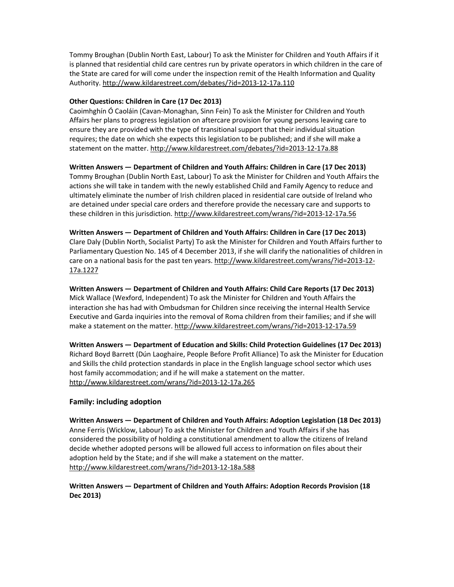Tommy Broughan (Dublin North East, Labour) To ask the Minister for Children and Youth Affairs if it is planned that residential child care centres run by private operators in which children in the care of the State are cared for will come under the inspection remit of the Health Information and Quality Authority. http://www.kildarestreet.com/debates/?id=2013-12-17a.110

#### Other Questions: Children in Care (17 Dec 2013)

Caoimhghín Ó Caoláin (Cavan-Monaghan, Sinn Fein) To ask the Minister for Children and Youth Affairs her plans to progress legislation on aftercare provision for young persons leaving care to ensure they are provided with the type of transitional support that their individual situation requires; the date on which she expects this legislation to be published; and if she will make a statement on the matter. http://www.kildarestreet.com/debates/?id=2013-12-17a.88

# Written Answers — Department of Children and Youth Affairs: Children in Care (17 Dec 2013)

Tommy Broughan (Dublin North East, Labour) To ask the Minister for Children and Youth Affairs the actions she will take in tandem with the newly established Child and Family Agency to reduce and ultimately eliminate the number of Irish children placed in residential care outside of Ireland who are detained under special care orders and therefore provide the necessary care and supports to these children in this jurisdiction. http://www.kildarestreet.com/wrans/?id=2013-12-17a.56

Written Answers — Department of Children and Youth Affairs: Children in Care (17 Dec 2013) Clare Daly (Dublin North, Socialist Party) To ask the Minister for Children and Youth Affairs further to Parliamentary Question No. 145 of 4 December 2013, if she will clarify the nationalities of children in care on a national basis for the past ten years. http://www.kildarestreet.com/wrans/?id=2013-12- 17a.1227

Written Answers — Department of Children and Youth Affairs: Child Care Reports (17 Dec 2013) Mick Wallace (Wexford, Independent) To ask the Minister for Children and Youth Affairs the interaction she has had with Ombudsman for Children since receiving the internal Health Service Executive and Garda inquiries into the removal of Roma children from their families; and if she will make a statement on the matter. http://www.kildarestreet.com/wrans/?id=2013-12-17a.59

Written Answers — Department of Education and Skills: Child Protection Guidelines (17 Dec 2013) Richard Boyd Barrett (Dún Laoghaire, People Before Profit Alliance) To ask the Minister for Education and Skills the child protection standards in place in the English language school sector which uses host family accommodation; and if he will make a statement on the matter. http://www.kildarestreet.com/wrans/?id=2013-12-17a.265

# Family: including adoption

Written Answers — Department of Children and Youth Affairs: Adoption Legislation (18 Dec 2013) Anne Ferris (Wicklow, Labour) To ask the Minister for Children and Youth Affairs if she has considered the possibility of holding a constitutional amendment to allow the citizens of Ireland decide whether adopted persons will be allowed full access to information on files about their adoption held by the State; and if she will make a statement on the matter. http://www.kildarestreet.com/wrans/?id=2013-12-18a.588

# Written Answers — Department of Children and Youth Affairs: Adoption Records Provision (18 Dec 2013)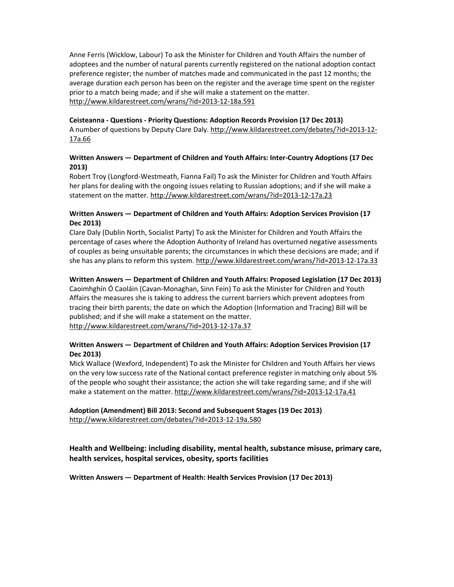Anne Ferris (Wicklow, Labour) To ask the Minister for Children and Youth Affairs the number of adoptees and the number of natural parents currently registered on the national adoption contact preference register; the number of matches made and communicated in the past 12 months; the average duration each person has been on the register and the average time spent on the register prior to a match being made; and if she will make a statement on the matter. http://www.kildarestreet.com/wrans/?id=2013-12-18a.591

#### Ceisteanna - Questions - Priority Questions: Adoption Records Provision (17 Dec 2013)

A number of questions by Deputy Clare Daly. http://www.kildarestreet.com/debates/?id=2013-12-17a.66

### Written Answers — Department of Children and Youth Affairs: Inter-Country Adoptions (17 Dec 2013)

Robert Troy (Longford-Westmeath, Fianna Fail) To ask the Minister for Children and Youth Affairs her plans for dealing with the ongoing issues relating to Russian adoptions; and if she will make a statement on the matter. http://www.kildarestreet.com/wrans/?id=2013-12-17a.23

### Written Answers — Department of Children and Youth Affairs: Adoption Services Provision (17 Dec 2013)

Clare Daly (Dublin North, Socialist Party) To ask the Minister for Children and Youth Affairs the percentage of cases where the Adoption Authority of Ireland has overturned negative assessments of couples as being unsuitable parents; the circumstances in which these decisions are made; and if she has any plans to reform this system. http://www.kildarestreet.com/wrans/?id=2013-12-17a.33

### Written Answers — Department of Children and Youth Affairs: Proposed Legislation (17 Dec 2013)

Caoimhghín Ó Caoláin (Cavan-Monaghan, Sinn Fein) To ask the Minister for Children and Youth Affairs the measures she is taking to address the current barriers which prevent adoptees from tracing their birth parents; the date on which the Adoption (Information and Tracing) Bill will be published; and if she will make a statement on the matter. http://www.kildarestreet.com/wrans/?id=2013-12-17a.37

### Written Answers — Department of Children and Youth Affairs: Adoption Services Provision (17 Dec 2013)

Mick Wallace (Wexford, Independent) To ask the Minister for Children and Youth Affairs her views on the very low success rate of the National contact preference register in matching only about 5% of the people who sought their assistance; the action she will take regarding same; and if she will make a statement on the matter. http://www.kildarestreet.com/wrans/?id=2013-12-17a.41

# Adoption (Amendment) Bill 2013: Second and Subsequent Stages (19 Dec 2013) http://www.kildarestreet.com/debates/?id=2013-12-19a.580

Health and Wellbeing: including disability, mental health, substance misuse, primary care, health services, hospital services, obesity, sports facilities

Written Answers — Department of Health: Health Services Provision (17 Dec 2013)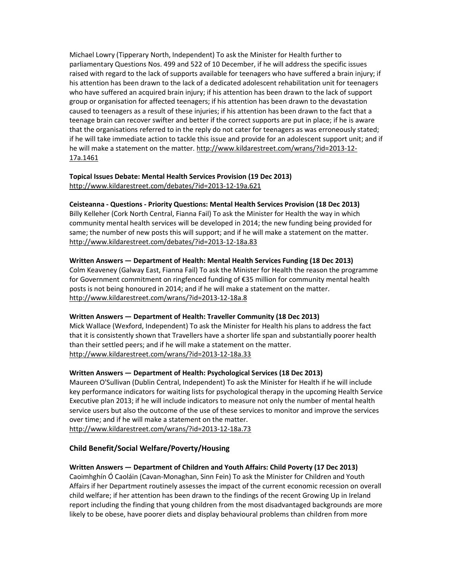Michael Lowry (Tipperary North, Independent) To ask the Minister for Health further to parliamentary Questions Nos. 499 and 522 of 10 December, if he will address the specific issues raised with regard to the lack of supports available for teenagers who have suffered a brain injury; if his attention has been drawn to the lack of a dedicated adolescent rehabilitation unit for teenagers who have suffered an acquired brain injury; if his attention has been drawn to the lack of support group or organisation for affected teenagers; if his attention has been drawn to the devastation caused to teenagers as a result of these injuries; if his attention has been drawn to the fact that a teenage brain can recover swifter and better if the correct supports are put in place; if he is aware that the organisations referred to in the reply do not cater for teenagers as was erroneously stated; if he will take immediate action to tackle this issue and provide for an adolescent support unit; and if he will make a statement on the matter. http://www.kildarestreet.com/wrans/?id=2013-12- 17a.1461

#### Topical Issues Debate: Mental Health Services Provision (19 Dec 2013) http://www.kildarestreet.com/debates/?id=2013-12-19a.621

#### Ceisteanna - Questions - Priority Questions: Mental Health Services Provision (18 Dec 2013)

Billy Kelleher (Cork North Central, Fianna Fail) To ask the Minister for Health the way in which community mental health services will be developed in 2014; the new funding being provided for same; the number of new posts this will support; and if he will make a statement on the matter. http://www.kildarestreet.com/debates/?id=2013-12-18a.83

#### Written Answers — Department of Health: Mental Health Services Funding (18 Dec 2013)

Colm Keaveney (Galway East, Fianna Fail) To ask the Minister for Health the reason the programme for Government commitment on ringfenced funding of €35 million for community mental health posts is not being honoured in 2014; and if he will make a statement on the matter. http://www.kildarestreet.com/wrans/?id=2013-12-18a.8

#### Written Answers — Department of Health: Traveller Community (18 Dec 2013)

Mick Wallace (Wexford, Independent) To ask the Minister for Health his plans to address the fact that it is consistently shown that Travellers have a shorter life span and substantially poorer health than their settled peers; and if he will make a statement on the matter. http://www.kildarestreet.com/wrans/?id=2013-12-18a.33

#### Written Answers — Department of Health: Psychological Services (18 Dec 2013)

Maureen O'Sullivan (Dublin Central, Independent) To ask the Minister for Health if he will include key performance indicators for waiting lists for psychological therapy in the upcoming Health Service Executive plan 2013; if he will include indicators to measure not only the number of mental health service users but also the outcome of the use of these services to monitor and improve the services over time; and if he will make a statement on the matter. http://www.kildarestreet.com/wrans/?id=2013-12-18a.73

#### Child Benefit/Social Welfare/Poverty/Housing

#### Written Answers — Department of Children and Youth Affairs: Child Poverty (17 Dec 2013)

Caoimhghín Ó Caoláin (Cavan-Monaghan, Sinn Fein) To ask the Minister for Children and Youth Affairs if her Department routinely assesses the impact of the current economic recession on overall child welfare; if her attention has been drawn to the findings of the recent Growing Up in Ireland report including the finding that young children from the most disadvantaged backgrounds are more likely to be obese, have poorer diets and display behavioural problems than children from more